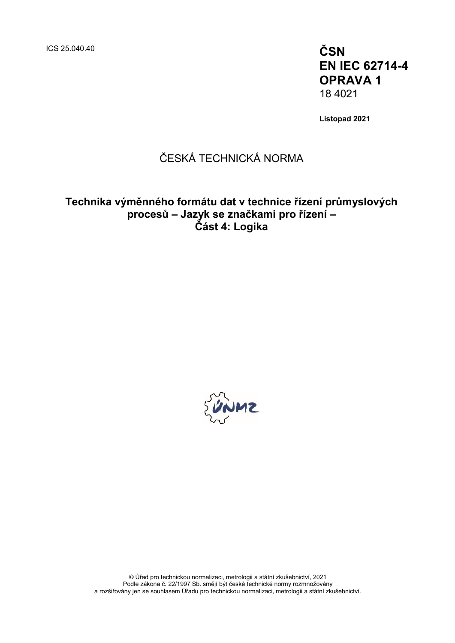ICS 25.040.40 **ČSN**

**EN IEC 62714-4 OPRAVA 1** 18 4021

**Listopad 2021**

# ČESKÁ TECHNICKÁ NORMA

## **Technika výměnného formátu dat v technice řízení průmyslových procesů – Jazyk se značkami pro řízení – Část 4: Logika**



© Úřad pro technickou normalizaci, metrologii a státní zkušebnictví, 2021 Podle zákona č. 22/1997 Sb. smějí být české technické normy rozmnožovány a rozšiřovány jen se souhlasem Úřadu pro technickou normalizaci, metrologii a státní zkušebnictví.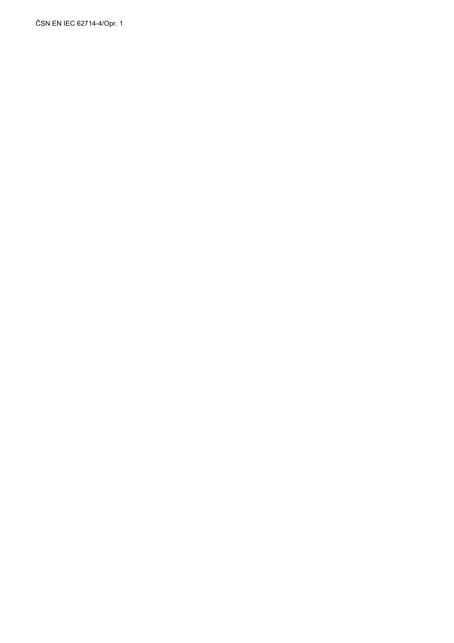ČSN EN IEC 62714-4/Opr. 1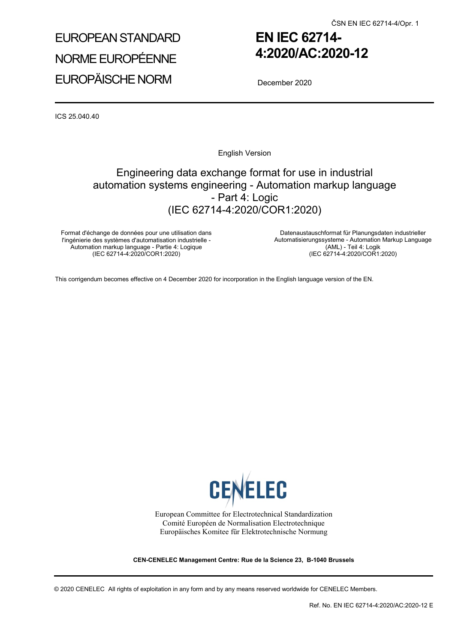# EUROPEAN STANDARD NORME EUROPÉENNE EUROPÄISCHE NORM

# **EN IEC 62714- 4:2020/AC:2020-12**

December 2020

ICS 25.040.40

English Version

## Engineering data exchange format for use in industrial automation systems engineering - Automation markup language - Part 4: Logic (IEC 62714-4:2020/COR1:2020)

Format d'échange de données pour une utilisation dans l'ingénierie des systèmes d'automatisation industrielle - Automation markup language - Partie 4: Logique (IEC 62714-4:2020/COR1:2020)

 Datenaustauschformat für Planungsdaten industrieller Automatisierungssysteme - Automation Markup Language (AML) - Teil 4: Logik (IEC 62714-4:2020/COR1:2020)

This corrigendum becomes effective on 4 December 2020 for incorporation in the English language version of the EN.



European Committee for Electrotechnical Standardization Comité Européen de Normalisation Electrotechnique Europäisches Komitee für Elektrotechnische Normung

**CEN-CENELEC Management Centre: Rue de la Science 23, B-1040 Brussels** 

© 2020 CENELEC All rights of exploitation in any form and by any means reserved worldwide for CENELEC Members.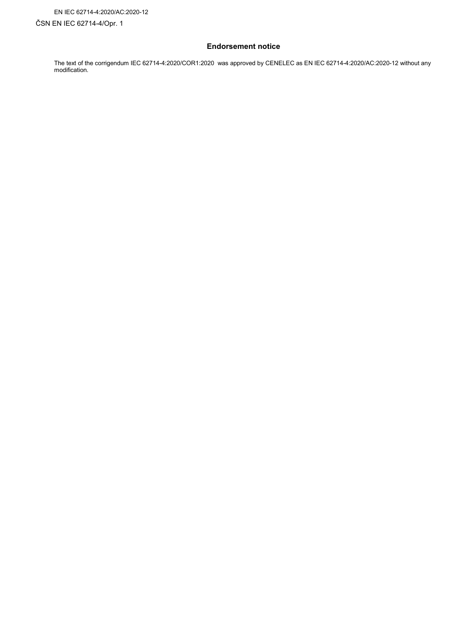EN IEC 62714-4:2020/AC:2020-12

ČSN EN IEC 62714-4/Opr. 1

## **Endorsement notice**

The text of the corrigendum IEC 62714-4:2020/COR1:2020 was approved by CENELEC as EN IEC 62714-4:2020/AC:2020-12 without any modification.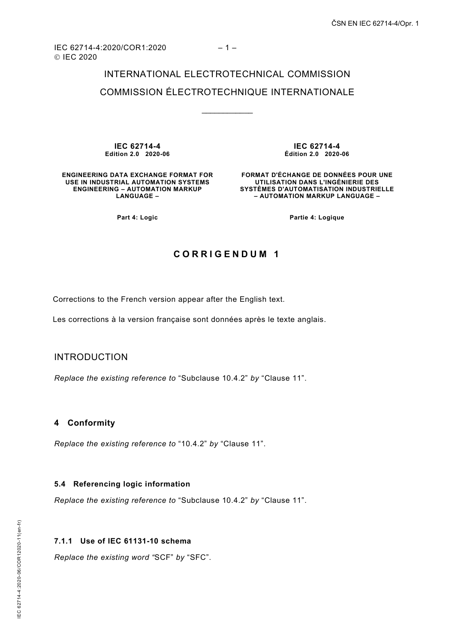IEC 62714-4:2020/COR1:2020 – 1 – © IEC 2020

\_\_\_\_\_\_\_\_\_\_\_\_

**IEC 62714-4 Edition 2.0 2020-06**

**IEC 62714-4 Édition 2.0 2020-06**

**ENGINEERING DATA EXCHANGE FORMAT FOR USE IN INDUSTRIAL AUTOMATION SYSTEMS ENGINEERING – AUTOMATION MARKUP LANGUAGE –** 

**Part 4: Logic**

**FORMAT D'ÉCHANGE DE DONNÉES POUR UNE UTILISATION DANS L'INGÉNIERIE DES SYSTÈMES D'AUTOMATISATION INDUSTRIELLE – AUTOMATION MARKUP LANGUAGE –** 

**Partie 4: Logique** 

## **CORRIGENDUM 1**

Corrections to the French version appear after the English text.

Les corrections à la version française sont données après le texte anglais.

## INTRODUCTION

*Replace the existing reference to* "Subclause 10.4.2" *by* "Clause 11".

## **4 Conformity**

*Replace the existing reference to* "10.4.2" *by* "Clause 11".

## **5.4 Referencing logic information**

*Replace the existing reference to* "Subclause 10.4.2" *by* "Clause 11".

## **7.1.1 Use of IEC 61131-10 schema**

*Replace the existing word "*SCF" *by* "SFC".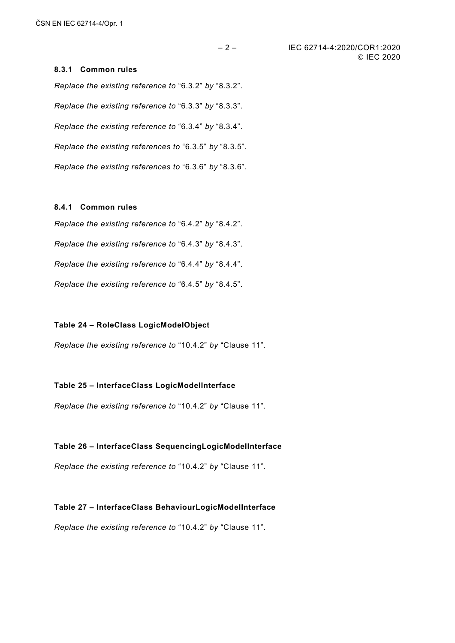#### **8.3.1 Common rules**

*Replace the existing reference to* "6.3.2" *by* "8.3.2". *Replace the existing reference to* "6.3.3" *by* "8.3.3". *Replace the existing reference to* "6.3.4" *by* "8.3.4". *Replace the existing references to* "6.3.5" *by* "8.3.5". *Replace the existing references to* "6.3.6" *by* "8.3.6".

#### **8.4.1 Common rules**

*Replace the existing reference to* "6.4.2" *by* "8.4.2". *Replace the existing reference to* "6.4.3" *by* "8.4.3". *Replace the existing reference to* "6.4.4" *by* "8.4.4". *Replace the existing reference to* "6.4.5" *by* "8.4.5".

#### **Table 24 – RoleClass LogicModelObject**

*Replace the existing reference to* "10.4.2" *by* "Clause 11".

#### **Table 25 – InterfaceClass LogicModelInterface**

*Replace the existing reference to* "10.4.2" *by* "Clause 11".

#### **Table 26 – InterfaceClass SequencingLogicModelInterface**

*Replace the existing reference to* "10.4.2" *by* "Clause 11".

## **Table 27 – InterfaceClass BehaviourLogicModelInterface**

*Replace the existing reference to* "10.4.2" *by* "Clause 11".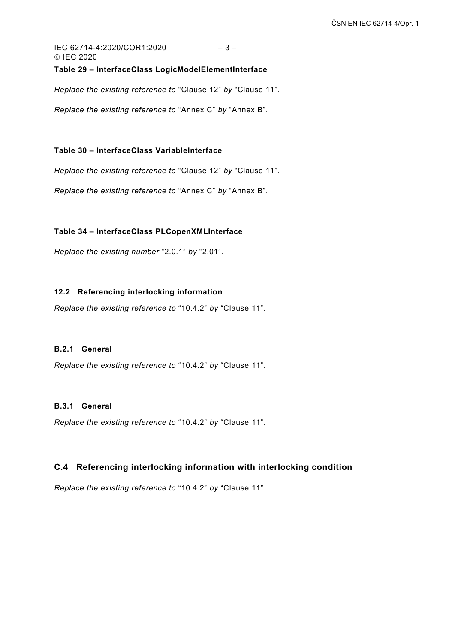IEC 62714-4:2020/COR1:2020 – 3 – © IEC 2020

## **Table 29 – InterfaceClass LogicModelElementInterface**

*Replace the existing reference to* "Clause 12" *by* "Clause 11".

*Replace the existing reference to* "Annex C" *by* "Annex B".

## **Table 30 – InterfaceClass VariableInterface**

*Replace the existing reference to* "Clause 12" *by* "Clause 11".

*Replace the existing reference to* "Annex C" *by* "Annex B".

## **Table 34 – InterfaceClass PLCopenXMLInterface**

*Replace the existing number* "2.0.1" *by* "2.01".

#### **12.2 Referencing interlocking information**

*Replace the existing reference to* "10.4.2" *by* "Clause 11".

#### **B.2.1 General**

*Replace the existing reference to* "10.4.2" *by* "Clause 11".

## **B.3.1 General**

*Replace the existing reference to* "10.4.2" *by* "Clause 11".

## **C.4 Referencing interlocking information with interlocking condition**

*Replace the existing reference to* "10.4.2" *by* "Clause 11".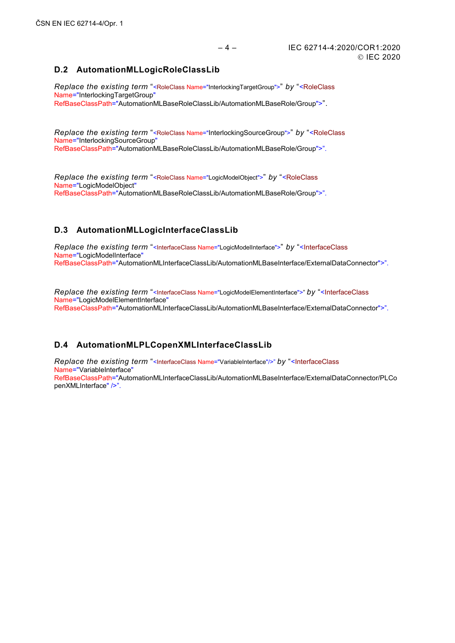## **D.2 AutomationMLLogicRoleClassLib**

*Replace the existing term* "<RoleClass Name="InterlockingTargetGroup">" by "<RoleClass Name="InterlockingTargetGroup" RefBaseClassPath="AutomationMLBaseRoleClassLib/AutomationMLBaseRole/Group">".

*Replace the existing term* "<RoleClass Name="InterlockingSourceGroup">" *by* "<RoleClass Name="InterlockingSourceGroup" RefBaseClassPath="AutomationMLBaseRoleClassLib/AutomationMLBaseRole/Group">".

*Replace the existing term* "<RoleClass Name="LogicModelObject">" *by* "<RoleClass Name="LogicModelObject" RefBaseClassPath="AutomationMLBaseRoleClassLib/AutomationMLBaseRole/Group">".

## **D.3 AutomationMLLogicInterfaceClassLib**

*Replace the existing term* "<InterfaceClass Name="LogicModelInterface">" *by* "<InterfaceClass Name="LogicModelInterface" RefBaseClassPath="AutomationMLInterfaceClassLib/AutomationMLBaseInterface/ExternalDataConnector">".

*Replace the existing term* "<InterfaceClass Name="LogicModelElementInterface">" *by* "<InterfaceClass Name="LogicModelElementInterface" RefBaseClassPath="AutomationMLInterfaceClassLib/AutomationMLBaseInterface/ExternalDataConnector">".

## **D.4 AutomationMLPLCopenXMLInterfaceClassLib**

*Replace the existing term* "<InterfaceClass Name="VariableInterface"/>" *by* "<InterfaceClass Name="VariableInterface" RefBaseClassPath="AutomationMLInterfaceClassLib/AutomationMLBaseInterface/ExternalDataConnector/PLCo penXMLInterface" />".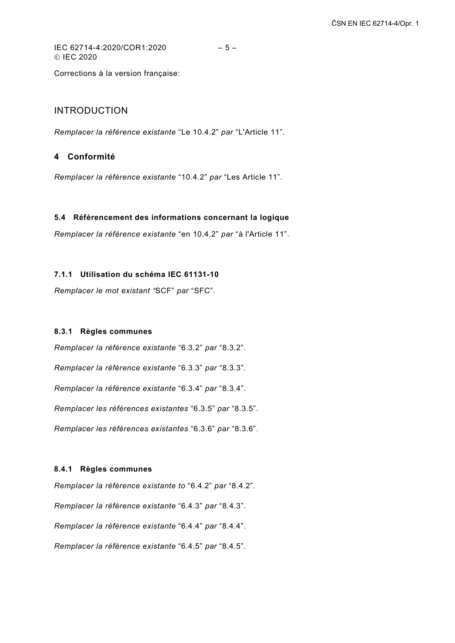IEC 62714-4:2020/COR1:2020 – 5 – © IEC 2020

Corrections à la version française:

## INTRODUCTION

*Remplacer la référence existante* "Le 10.4.2" *par* "L'Article 11".

## **4 Conformité**

*Remplacer la référence existante* "10.4.2" *par* "Les Article 11".

## **5.4 Référencement des informations concernant la logique**

*Remplacer la référence existante* "en 10.4.2" *par* "à l'Article 11".

## **7.1.1 Utilisation du schéma IEC 61131-10**

*Remplacer le mot existant "*SCF" *par* "SFC".

## **8.3.1 Règles communes**

*Remplacer la référence existante* "6.3.2" *par* "8.3.2".

*Remplacer la référence existante* "6.3.3" *par* "8.3.3".

*Remplacer la référence existante* "6.3.4" *par* "8.3.4".

*Remplacer les références existantes* "6.3.5" *par* "8.3.5".

*Remplacer les références existantes* "6.3.6" *par* "8.3.6".

## **8.4.1 Règles communes**

*Remplacer la référence existante to* "6.4.2" *par* "8.4.2". *Remplacer la référence existante* "6.4.3" *par* "8.4.3". *Remplacer la référence existante* "6.4.4" *par* "8.4.4". *Remplacer la référence existante* "6.4.5" *par* "8.4.5".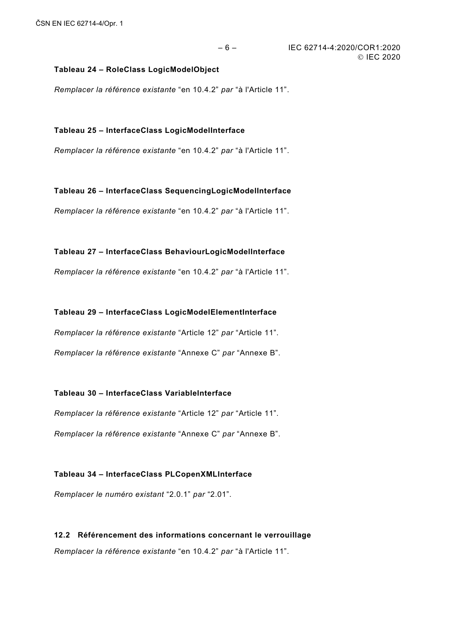## **Tableau 24 – RoleClass LogicModelObject**

*Remplacer la référence existante* "en 10.4.2" *par* "à l'Article 11".

## **Tableau 25 – InterfaceClass LogicModelInterface**

*Remplacer la référence existante* "en 10.4.2" *par* "à l'Article 11".

**Tableau 26 – InterfaceClass SequencingLogicModelInterface**

*Remplacer la référence existante* "en 10.4.2" *par* "à l'Article 11".

## **Tableau 27 – InterfaceClass BehaviourLogicModelInterface**

*Remplacer la référence existante* "en 10.4.2" *par* "à l'Article 11".

## **Tableau 29 – InterfaceClass LogicModelElementInterface**

*Remplacer la référence existante* "Article 12" *par* "Article 11".

*Remplacer la référence existante* "Annexe C" *par* "Annexe B".

## **Tableau 30 – InterfaceClass VariableInterface**

*Remplacer la référence existante* "Article 12" *par* "Article 11". *Remplacer la référence existante* "Annexe C" *par* "Annexe B".

## **Tableau 34 – InterfaceClass PLCopenXMLInterface**

*Remplacer le numéro existant* "2.0.1" *par* "2.01".

## **12.2 Référencement des informations concernant le verrouillage**

*Remplacer la référence existante* "en 10.4.2" *par* "à l'Article 11".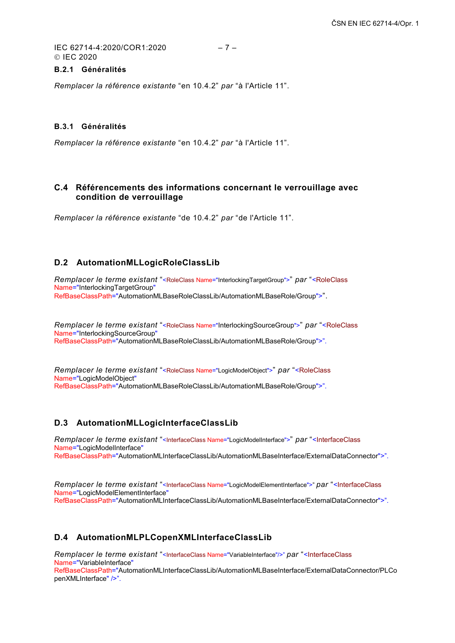IEC 62714-4:2020/COR1:2020 – 7 – © IEC 2020

#### **B.2.1 Généralités**

*Remplacer la référence existante* "en 10.4.2" *par* "à l'Article 11".

#### **B.3.1 Généralités**

*Remplacer la référence existante* "en 10.4.2" *par* "à l'Article 11".

## **C.4 Référencements des informations concernant le verrouillage avec condition de verrouillage**

*Remplacer la référence existante* "de 10.4.2" *par* "de l'Article 11".

## **D.2 AutomationMLLogicRoleClassLib**

*Remplacer le terme existant* "<RoleClass Name="InterlockingTargetGroup">" *par* "<RoleClass Name="InterlockingTargetGroup" RefBaseClassPath="AutomationMLBaseRoleClassLib/AutomationMLBaseRole/Group">".

*Remplacer le terme existant* "<RoleClass Name="InterlockingSourceGroup">" *par* "<RoleClass Name="InterlockingSourceGroup" RefBaseClassPath="AutomationMLBaseRoleClassLib/AutomationMLBaseRole/Group">".

*Remplacer le terme existant* "<RoleClass Name="LogicModelObject">" *par* "<RoleClass Name="LogicModelObject" RefBaseClassPath="AutomationMLBaseRoleClassLib/AutomationMLBaseRole/Group">".

## **D.3 AutomationMLLogicInterfaceClassLib**

*Remplacer le terme existant* "<InterfaceClass Name="LogicModelInterface">" *par* "<InterfaceClass Name="LogicModelInterface" RefBaseClassPath="AutomationMLInterfaceClassLib/AutomationMLBaseInterface/ExternalDataConnector">".

*Remplacer le terme existant* "<InterfaceClass Name="LogicModelElementInterface">" *par* "<InterfaceClass Name="LogicModelElementInterface" RefBaseClassPath="AutomationMLInterfaceClassLib/AutomationMLBaseInterface/ExternalDataConnector">".

## **D.4 AutomationMLPLCopenXMLInterfaceClassLib**

*Remplacer le terme existant* "<InterfaceClass Name="VariableInterface"/>" *par* "<InterfaceClass Name="VariableInterface" RefBaseClassPath="AutomationMLInterfaceClassLib/AutomationMLBaseInterface/ExternalDataConnector/PLCo penXMLInterface" />".